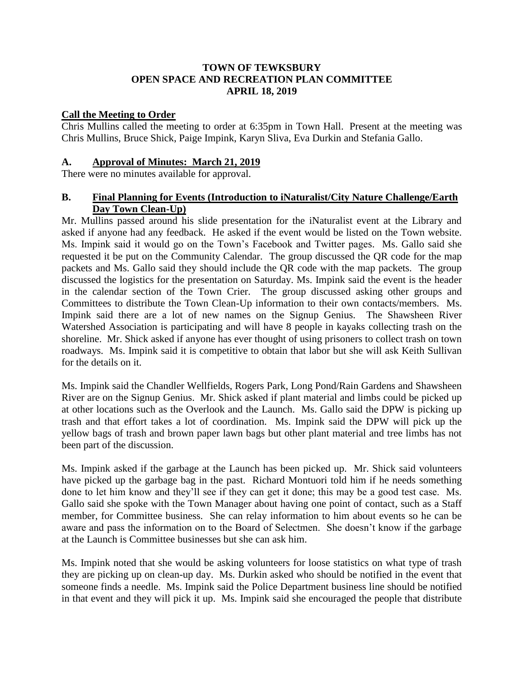#### **TOWN OF TEWKSBURY OPEN SPACE AND RECREATION PLAN COMMITTEE APRIL 18, 2019**

#### **Call the Meeting to Order**

Chris Mullins called the meeting to order at 6:35pm in Town Hall. Present at the meeting was Chris Mullins, Bruce Shick, Paige Impink, Karyn Sliva, Eva Durkin and Stefania Gallo.

#### **A. Approval of Minutes: March 21, 2019**

There were no minutes available for approval.

## **B. Final Planning for Events (Introduction to iNaturalist/City Nature Challenge/Earth Day Town Clean-Up)**

Mr. Mullins passed around his slide presentation for the iNaturalist event at the Library and asked if anyone had any feedback. He asked if the event would be listed on the Town website. Ms. Impink said it would go on the Town's Facebook and Twitter pages. Ms. Gallo said she requested it be put on the Community Calendar. The group discussed the QR code for the map packets and Ms. Gallo said they should include the QR code with the map packets. The group discussed the logistics for the presentation on Saturday. Ms. Impink said the event is the header in the calendar section of the Town Crier. The group discussed asking other groups and Committees to distribute the Town Clean-Up information to their own contacts/members. Ms. Impink said there are a lot of new names on the Signup Genius. The Shawsheen River Watershed Association is participating and will have 8 people in kayaks collecting trash on the shoreline. Mr. Shick asked if anyone has ever thought of using prisoners to collect trash on town roadways. Ms. Impink said it is competitive to obtain that labor but she will ask Keith Sullivan for the details on it.

Ms. Impink said the Chandler Wellfields, Rogers Park, Long Pond/Rain Gardens and Shawsheen River are on the Signup Genius. Mr. Shick asked if plant material and limbs could be picked up at other locations such as the Overlook and the Launch. Ms. Gallo said the DPW is picking up trash and that effort takes a lot of coordination. Ms. Impink said the DPW will pick up the yellow bags of trash and brown paper lawn bags but other plant material and tree limbs has not been part of the discussion.

Ms. Impink asked if the garbage at the Launch has been picked up. Mr. Shick said volunteers have picked up the garbage bag in the past. Richard Montuori told him if he needs something done to let him know and they'll see if they can get it done; this may be a good test case. Ms. Gallo said she spoke with the Town Manager about having one point of contact, such as a Staff member, for Committee business. She can relay information to him about events so he can be aware and pass the information on to the Board of Selectmen. She doesn't know if the garbage at the Launch is Committee businesses but she can ask him.

Ms. Impink noted that she would be asking volunteers for loose statistics on what type of trash they are picking up on clean-up day. Ms. Durkin asked who should be notified in the event that someone finds a needle. Ms. Impink said the Police Department business line should be notified in that event and they will pick it up. Ms. Impink said she encouraged the people that distribute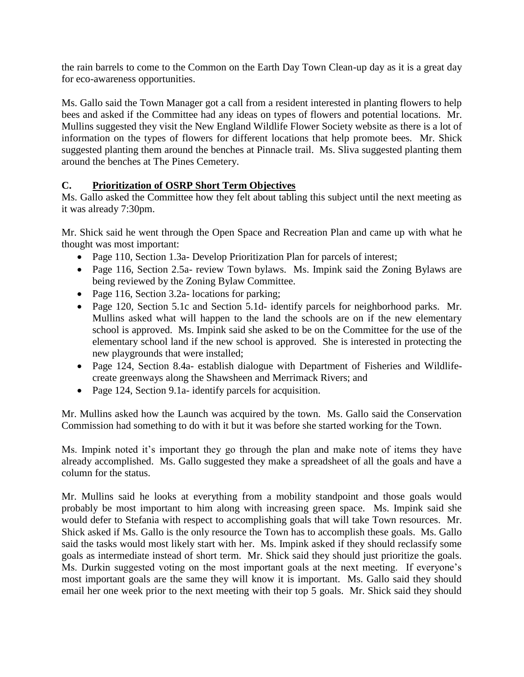the rain barrels to come to the Common on the Earth Day Town Clean-up day as it is a great day for eco-awareness opportunities.

Ms. Gallo said the Town Manager got a call from a resident interested in planting flowers to help bees and asked if the Committee had any ideas on types of flowers and potential locations. Mr. Mullins suggested they visit the New England Wildlife Flower Society website as there is a lot of information on the types of flowers for different locations that help promote bees. Mr. Shick suggested planting them around the benches at Pinnacle trail. Ms. Sliva suggested planting them around the benches at The Pines Cemetery.

# **C. Prioritization of OSRP Short Term Objectives**

Ms. Gallo asked the Committee how they felt about tabling this subject until the next meeting as it was already 7:30pm.

Mr. Shick said he went through the Open Space and Recreation Plan and came up with what he thought was most important:

- Page 110, Section 1.3a- Develop Prioritization Plan for parcels of interest;
- Page 116, Section 2.5a- review Town bylaws. Ms. Impink said the Zoning Bylaws are being reviewed by the Zoning Bylaw Committee.
- Page 116, Section 3.2a- locations for parking;
- Page 120, Section 5.1c and Section 5.1d- identify parcels for neighborhood parks. Mr. Mullins asked what will happen to the land the schools are on if the new elementary school is approved. Ms. Impink said she asked to be on the Committee for the use of the elementary school land if the new school is approved. She is interested in protecting the new playgrounds that were installed;
- Page 124, Section 8.4a- establish dialogue with Department of Fisheries and Wildlifecreate greenways along the Shawsheen and Merrimack Rivers; and
- Page 124, Section 9.1a- identify parcels for acquisition.

Mr. Mullins asked how the Launch was acquired by the town. Ms. Gallo said the Conservation Commission had something to do with it but it was before she started working for the Town.

Ms. Impink noted it's important they go through the plan and make note of items they have already accomplished. Ms. Gallo suggested they make a spreadsheet of all the goals and have a column for the status.

Mr. Mullins said he looks at everything from a mobility standpoint and those goals would probably be most important to him along with increasing green space. Ms. Impink said she would defer to Stefania with respect to accomplishing goals that will take Town resources. Mr. Shick asked if Ms. Gallo is the only resource the Town has to accomplish these goals. Ms. Gallo said the tasks would most likely start with her. Ms. Impink asked if they should reclassify some goals as intermediate instead of short term. Mr. Shick said they should just prioritize the goals. Ms. Durkin suggested voting on the most important goals at the next meeting. If everyone's most important goals are the same they will know it is important. Ms. Gallo said they should email her one week prior to the next meeting with their top 5 goals. Mr. Shick said they should